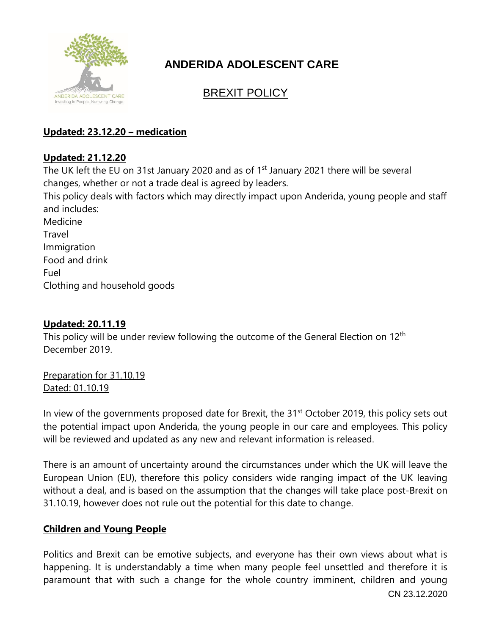

# **ANDERIDA ADOLESCENT CARE**

## BREXIT POLICY

## **Updated: 23.12.20 – medication**

## **Updated: 21.12.20**

The UK left the EU on 31st January 2020 and as of 1<sup>st</sup> January 2021 there will be several changes, whether or not a trade deal is agreed by leaders.

This policy deals with factors which may directly impact upon Anderida, young people and staff and includes:

Medicine **Travel** Immigration Food and drink Fuel Clothing and household goods

## **Updated: 20.11.19**

This policy will be under review following the outcome of the General Election on 12<sup>th</sup> December 2019.

Preparation for 31.10.19 Dated: 01.10.19

In view of the governments proposed date for Brexit, the 31<sup>st</sup> October 2019, this policy sets out the potential impact upon Anderida, the young people in our care and employees. This policy will be reviewed and updated as any new and relevant information is released.

There is an amount of uncertainty around the circumstances under which the UK will leave the European Union (EU), therefore this policy considers wide ranging impact of the UK leaving without a deal, and is based on the assumption that the changes will take place post-Brexit on 31.10.19, however does not rule out the potential for this date to change.

## **Children and Young People**

CN 23.12.2020 Politics and Brexit can be emotive subjects, and everyone has their own views about what is happening. It is understandably a time when many people feel unsettled and therefore it is paramount that with such a change for the whole country imminent, children and young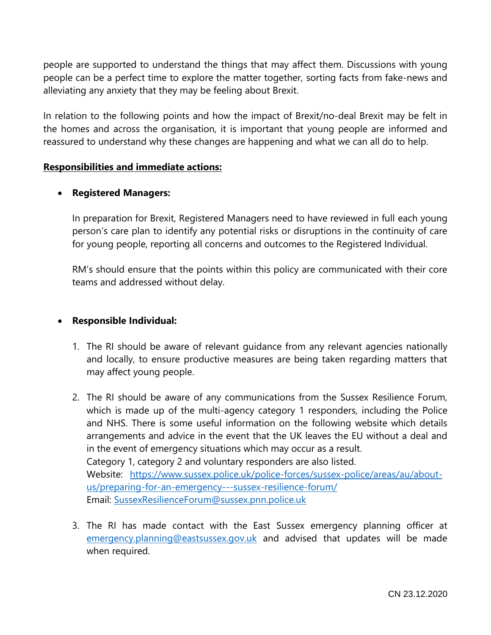people are supported to understand the things that may affect them. Discussions with young people can be a perfect time to explore the matter together, sorting facts from fake-news and alleviating any anxiety that they may be feeling about Brexit.

In relation to the following points and how the impact of Brexit/no-deal Brexit may be felt in the homes and across the organisation, it is important that young people are informed and reassured to understand why these changes are happening and what we can all do to help.

#### **Responsibilities and immediate actions:**

#### • **Registered Managers:**

In preparation for Brexit, Registered Managers need to have reviewed in full each young person's care plan to identify any potential risks or disruptions in the continuity of care for young people, reporting all concerns and outcomes to the Registered Individual.

RM's should ensure that the points within this policy are communicated with their core teams and addressed without delay.

#### • **Responsible Individual:**

- 1. The RI should be aware of relevant guidance from any relevant agencies nationally and locally, to ensure productive measures are being taken regarding matters that may affect young people.
- 2. The RI should be aware of any communications from the Sussex Resilience Forum, which is made up of the multi-agency category 1 responders, including the Police and NHS. There is some useful information on the following website which details arrangements and advice in the event that the UK leaves the EU without a deal and in the event of emergency situations which may occur as a result. Category 1, category 2 and voluntary responders are also listed. Website: [https://www.sussex.police.uk/police-forces/sussex-police/areas/au/about](https://www.sussex.police.uk/police-forces/sussex-police/areas/au/about-us/preparing-for-an-emergency---sussex-resilience-forum/)[us/preparing-for-an-emergency---sussex-resilience-forum/](https://www.sussex.police.uk/police-forces/sussex-police/areas/au/about-us/preparing-for-an-emergency---sussex-resilience-forum/) Email: [SussexResilienceForum@sussex.pnn.police.uk](mailto:SussexResilienceForum@sussex.pnn.police.uk)
- 3. The RI has made contact with the East Sussex emergency planning officer at [emergency.planning@eastsussex.gov.uk](mailto:emergency.planning@eastsussex.gov.uk) and advised that updates will be made when required.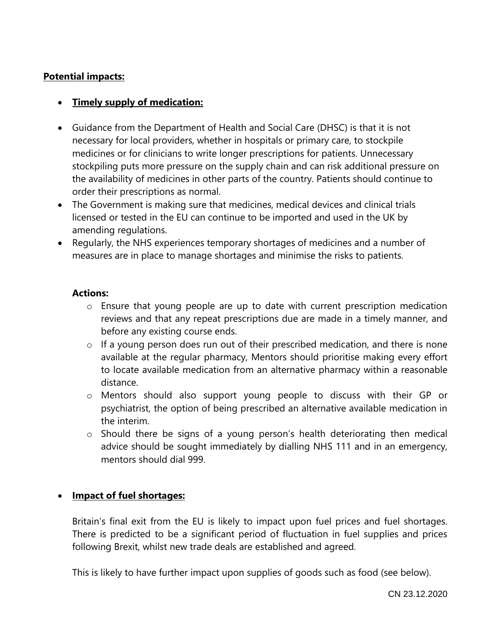#### **Potential impacts:**

#### • **Timely supply of medication:**

- Guidance from the Department of Health and Social Care (DHSC) is that it is not necessary for local providers, whether in hospitals or primary care, to stockpile medicines or for clinicians to write longer prescriptions for patients. Unnecessary stockpiling puts more pressure on the supply chain and can risk additional pressure on the availability of medicines in other parts of the country. Patients should continue to order their prescriptions as normal.
- The Government is making sure that medicines, medical devices and clinical trials licensed or tested in the EU can continue to be imported and used in the UK by amending regulations.
- Regularly, the NHS experiences temporary shortages of medicines and a number of measures are in place to manage shortages and minimise the risks to patients.

#### **Actions:**

- o Ensure that young people are up to date with current prescription medication reviews and that any repeat prescriptions due are made in a timely manner, and before any existing course ends.
- o If a young person does run out of their prescribed medication, and there is none available at the regular pharmacy, Mentors should prioritise making every effort to locate available medication from an alternative pharmacy within a reasonable distance.
- o Mentors should also support young people to discuss with their GP or psychiatrist, the option of being prescribed an alternative available medication in the interim.
- o Should there be signs of a young person's health deteriorating then medical advice should be sought immediately by dialling NHS 111 and in an emergency, mentors should dial 999.

#### • **Impact of fuel shortages:**

Britain's final exit from the EU is likely to impact upon fuel prices and fuel shortages. There is predicted to be a significant period of fluctuation in fuel supplies and prices following Brexit, whilst new trade deals are established and agreed.

This is likely to have further impact upon supplies of goods such as food (see below).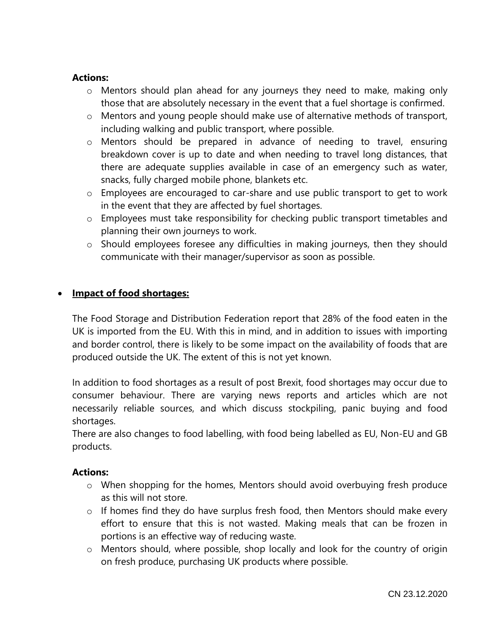#### **Actions:**

- o Mentors should plan ahead for any journeys they need to make, making only those that are absolutely necessary in the event that a fuel shortage is confirmed.
- o Mentors and young people should make use of alternative methods of transport, including walking and public transport, where possible.
- o Mentors should be prepared in advance of needing to travel, ensuring breakdown cover is up to date and when needing to travel long distances, that there are adequate supplies available in case of an emergency such as water, snacks, fully charged mobile phone, blankets etc.
- o Employees are encouraged to car-share and use public transport to get to work in the event that they are affected by fuel shortages.
- o Employees must take responsibility for checking public transport timetables and planning their own journeys to work.
- o Should employees foresee any difficulties in making journeys, then they should communicate with their manager/supervisor as soon as possible.

#### • **Impact of food shortages:**

The Food Storage and Distribution Federation report that 28% of the food eaten in the UK is imported from the EU. With this in mind, and in addition to issues with importing and border control, there is likely to be some impact on the availability of foods that are produced outside the UK. The extent of this is not yet known.

In addition to food shortages as a result of post Brexit, food shortages may occur due to consumer behaviour. There are varying news reports and articles which are not necessarily reliable sources, and which discuss stockpiling, panic buying and food shortages.

There are also changes to food labelling, with food being labelled as EU, Non-EU and GB products.

#### **Actions:**

- o When shopping for the homes, Mentors should avoid overbuying fresh produce as this will not store.
- o If homes find they do have surplus fresh food, then Mentors should make every effort to ensure that this is not wasted. Making meals that can be frozen in portions is an effective way of reducing waste.
- o Mentors should, where possible, shop locally and look for the country of origin on fresh produce, purchasing UK products where possible.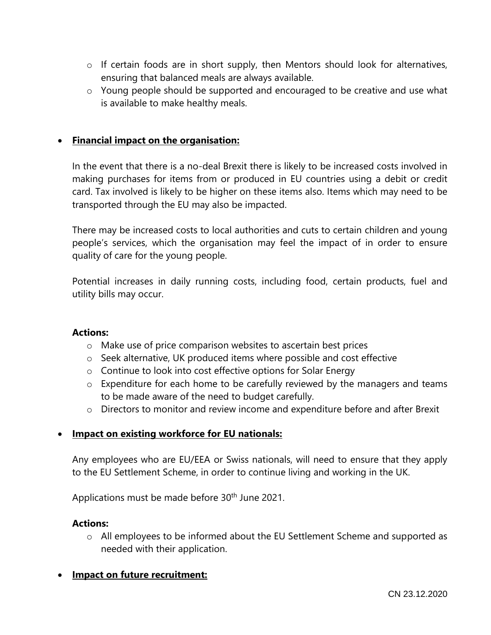- o If certain foods are in short supply, then Mentors should look for alternatives, ensuring that balanced meals are always available.
- o Young people should be supported and encouraged to be creative and use what is available to make healthy meals.

#### • **Financial impact on the organisation:**

In the event that there is a no-deal Brexit there is likely to be increased costs involved in making purchases for items from or produced in EU countries using a debit or credit card. Tax involved is likely to be higher on these items also. Items which may need to be transported through the EU may also be impacted.

There may be increased costs to local authorities and cuts to certain children and young people's services, which the organisation may feel the impact of in order to ensure quality of care for the young people.

Potential increases in daily running costs, including food, certain products, fuel and utility bills may occur.

#### **Actions:**

- o Make use of price comparison websites to ascertain best prices
- $\circ$  Seek alternative, UK produced items where possible and cost effective
- o Continue to look into cost effective options for Solar Energy
- o Expenditure for each home to be carefully reviewed by the managers and teams to be made aware of the need to budget carefully.
- o Directors to monitor and review income and expenditure before and after Brexit

#### • **Impact on existing workforce for EU nationals:**

Any employees who are EU/EEA or Swiss nationals, will need to ensure that they apply to the EU Settlement Scheme, in order to continue living and working in the UK.

Applications must be made before 30<sup>th</sup> June 2021.

#### **Actions:**

o All employees to be informed about the EU Settlement Scheme and supported as needed with their application.

#### • **Impact on future recruitment:**